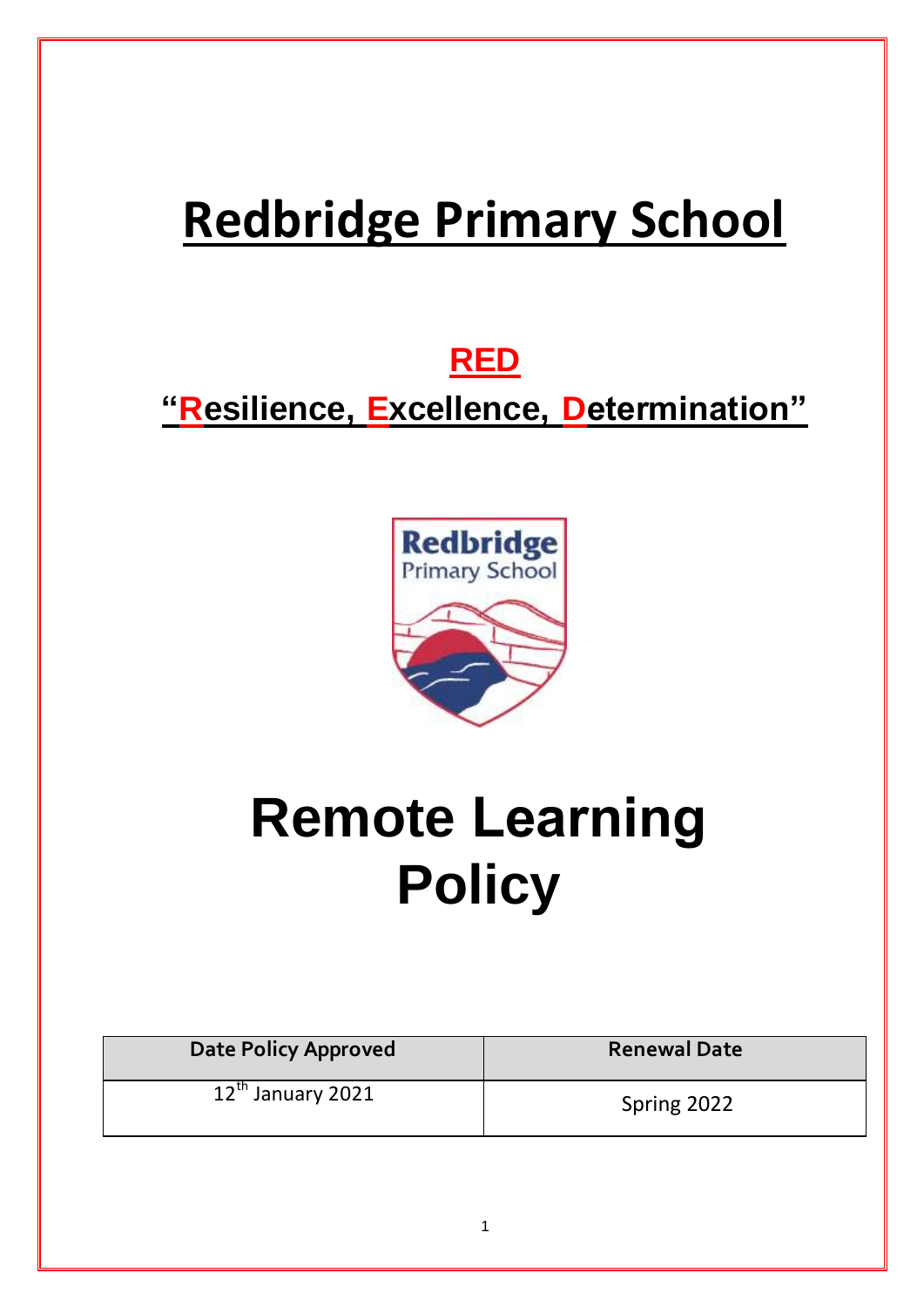# **Redbridge Primary School**

# **RED**

# **"Resilience, Excellence, Determination"**



# **Remote Learning Policy**

| <b>Date Policy Approved</b> | <b>Renewal Date</b> |
|-----------------------------|---------------------|
| $12^{th}$ January 2021      | Spring 2022         |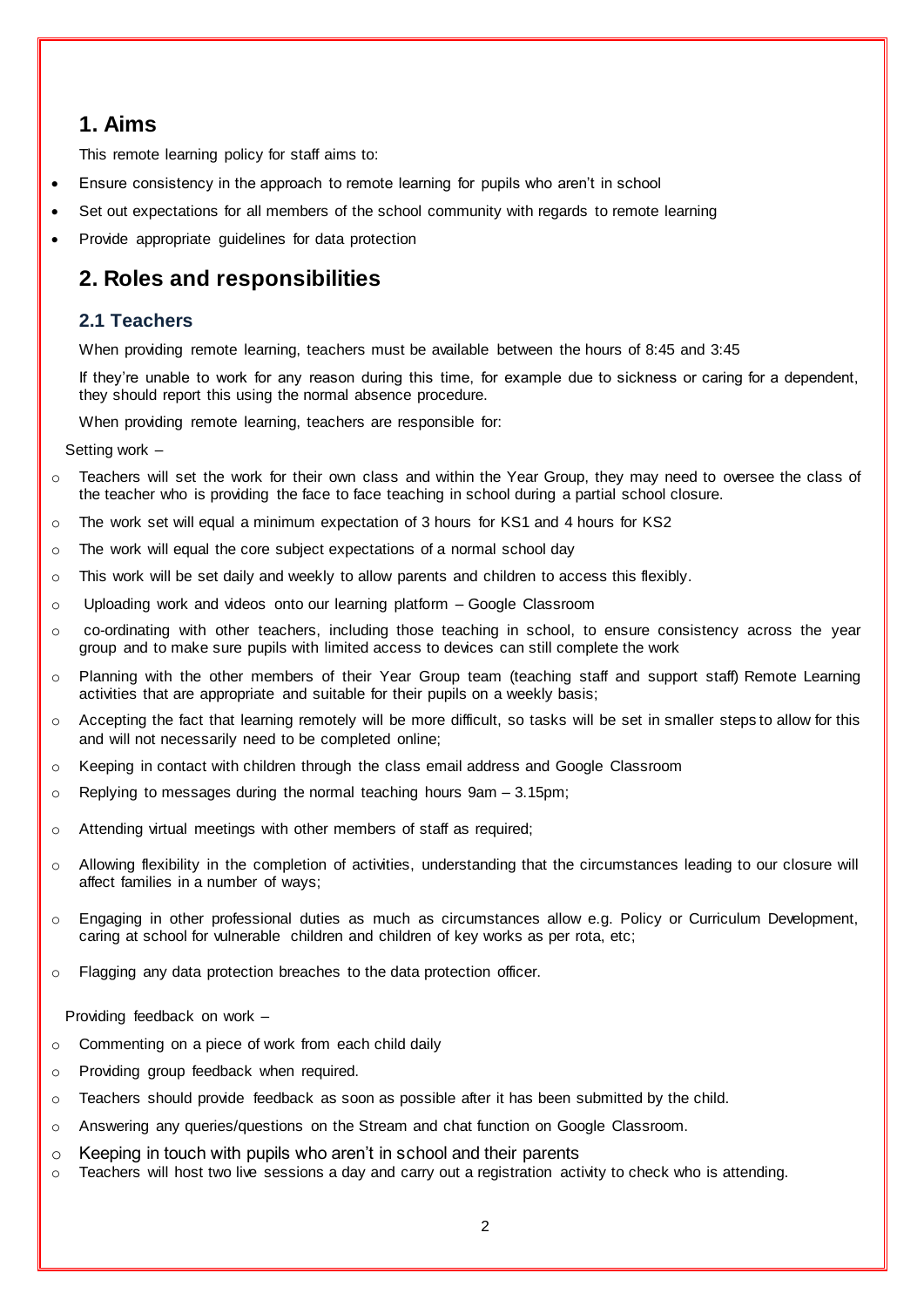# **1. Aims**

This remote learning policy for staff aims to:

- Ensure consistency in the approach to remote learning for pupils who aren't in school
- Set out expectations for all members of the school community with regards to remote learning
- Provide appropriate guidelines for data protection

# **2. Roles and responsibilities**

### **2.1 Teachers**

When providing remote learning, teachers must be available between the hours of 8:45 and 3:45

If they're unable to work for any reason during this time, for example due to sickness or caring for a dependent, they should report this using the normal absence procedure.

When providing remote learning, teachers are responsible for:

Setting work –

- o Teachers will set the work for their own class and within the Year Group, they may need to oversee the class of the teacher who is providing the face to face teaching in school during a partial school closure.
- $\circ$  The work set will equal a minimum expectation of 3 hours for KS1 and 4 hours for KS2
- o The work will equal the core subject expectations of a normal school day
- $\circ$  This work will be set daily and weekly to allow parents and children to access this flexibly.
- o Uploading work and videos onto our learning platform Google Classroom
- o co-ordinating with other teachers, including those teaching in school, to ensure consistency across the year group and to make sure pupils with limited access to devices can still complete the work
- o Planning with the other members of their Year Group team (teaching staff and support staff) Remote Learning activities that are appropriate and suitable for their pupils on a weekly basis;
- o Accepting the fact that learning remotely will be more difficult, so tasks will be set in smaller steps to allow for this and will not necessarily need to be completed online;
- o Keeping in contact with children through the class email address and Google Classroom
- $\circ$  Replying to messages during the normal teaching hours 9am 3.15pm;
- o Attending virtual meetings with other members of staff as required;
- o Allowing flexibility in the completion of activities, understanding that the circumstances leading to our closure will affect families in a number of ways;
- o Engaging in other professional duties as much as circumstances allow e.g. Policy or Curriculum Development, caring at school for vulnerable children and children of key works as per rota, etc;
- o Flagging any data protection breaches to the data protection officer.

Providing feedback on work –

- o Commenting on a piece of work from each child daily
- o Providing group feedback when required.
- $\circ$  Teachers should provide feedback as soon as possible after it has been submitted by the child.
- o Answering any queries/questions on the Stream and chat function on Google Classroom.
- $\circ$  Keeping in touch with pupils who aren't in school and their parents
- o Teachers will host two live sessions a day and carry out a registration activity to check who is attending.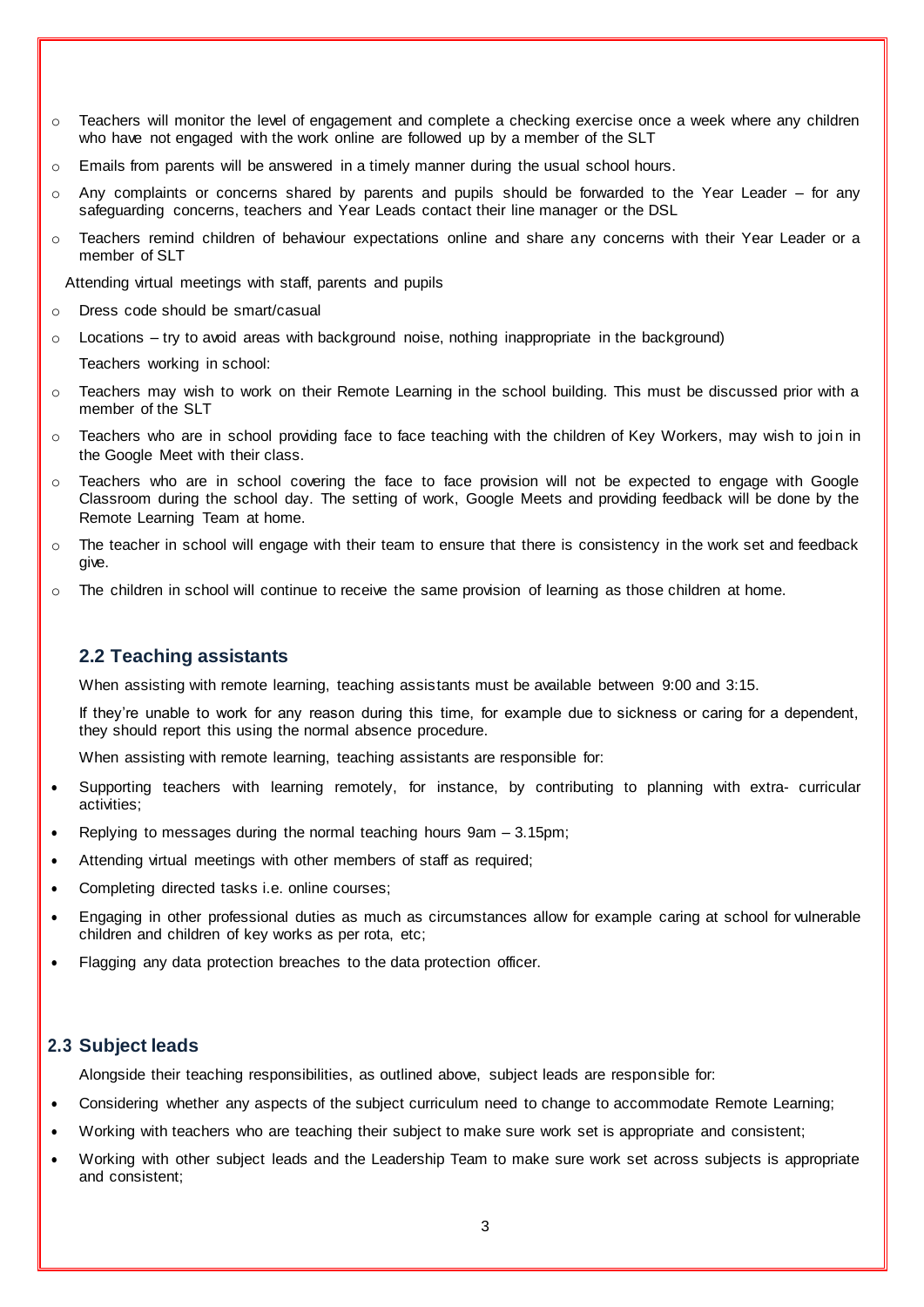- $\circ$  Teachers will monitor the level of engagement and complete a checking exercise once a week where any children who have not engaged with the work online are followed up by a member of the SLT
- $\circ$  Emails from parents will be answered in a timely manner during the usual school hours.
- $\circ$  Any complaints or concerns shared by parents and pupils should be forwarded to the Year Leader for any safeguarding concerns, teachers and Year Leads contact their line manager or the DSL
- o Teachers remind children of behaviour expectations online and share any concerns with their Year Leader or a member of SLT

Attending virtual meetings with staff, parents and pupils

- o Dress code should be smart/casual
- o Locations try to avoid areas with background noise, nothing inappropriate in the background)

Teachers working in school:

- $\circ$  Teachers may wish to work on their Remote Learning in the school building. This must be discussed prior with a member of the SLT
- o Teachers who are in school providing face to face teaching with the children of Key Workers, may wish to join in the Google Meet with their class.
- o Teachers who are in school covering the face to face provision will not be expected to engage with Google Classroom during the school day. The setting of work, Google Meets and providing feedback will be done by the Remote Learning Team at home.
- $\circ$  The teacher in school will engage with their team to ensure that there is consistency in the work set and feedback give.
- $\circ$  The children in school will continue to receive the same provision of learning as those children at home.

### **2.2 Teaching assistants**

When assisting with remote learning, teaching assistants must be available between 9:00 and 3:15.

If they're unable to work for any reason during this time, for example due to sickness or caring for a dependent, they should report this using the normal absence procedure.

When assisting with remote learning, teaching assistants are responsible for:

- Supporting teachers with learning remotely, for instance, by contributing to planning with extra- curricular activities;
- Replying to messages during the normal teaching hours 9am 3.15pm;
- Attending virtual meetings with other members of staff as required;
- Completing directed tasks i.e. online courses;
- Engaging in other professional duties as much as circumstances allow for example caring at school for vulnerable children and children of key works as per rota, etc;
- Flagging any data protection breaches to the data protection officer.

#### **2.3 Subject leads**

Alongside their teaching responsibilities, as outlined above, subject leads are responsible for:

- Considering whether any aspects of the subject curriculum need to change to accommodate Remote Learning;
- Working with teachers who are teaching their subject to make sure work set is appropriate and consistent;
- Working with other subject leads and the Leadership Team to make sure work set across subjects is appropriate and consistent;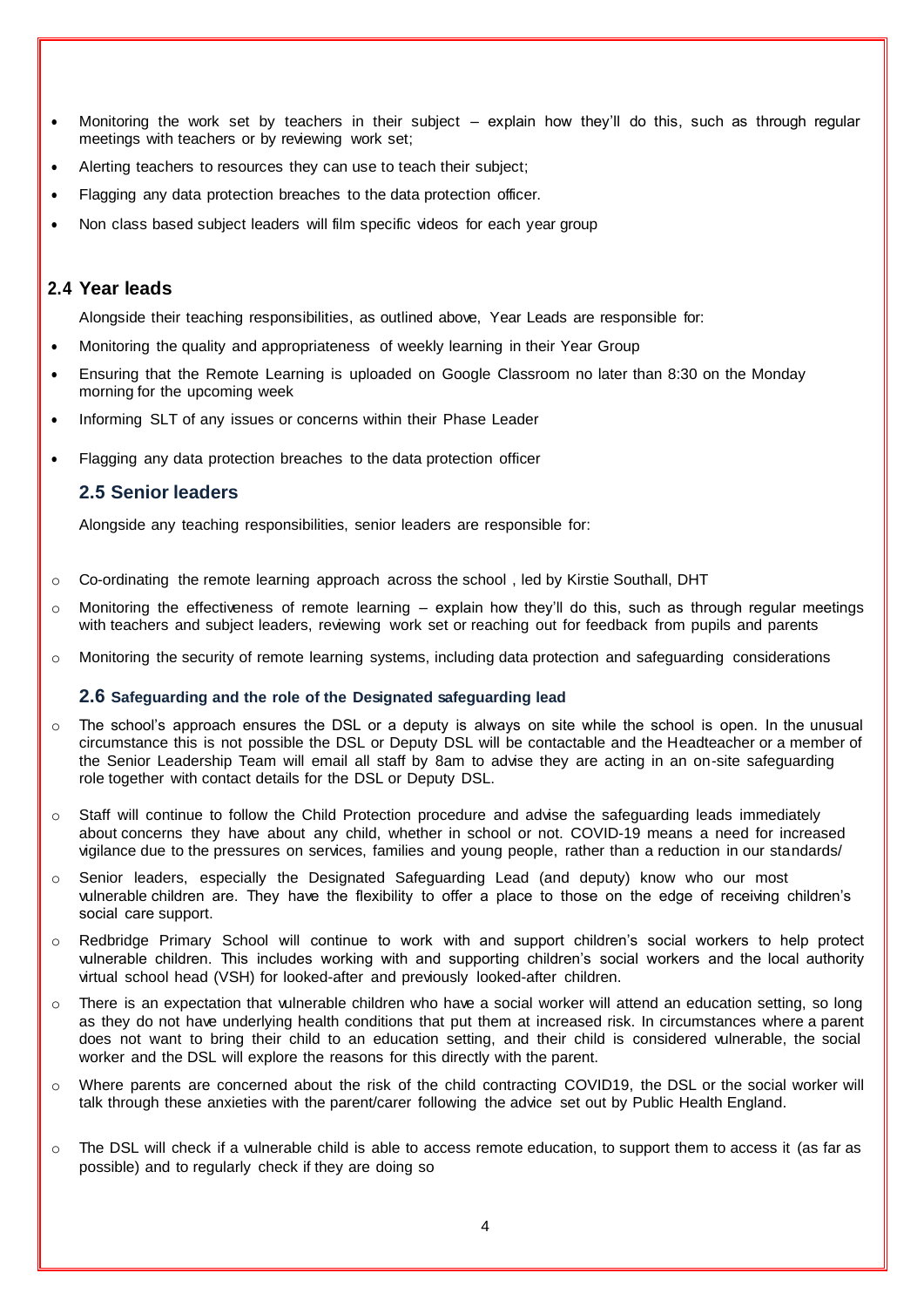- Monitoring the work set by teachers in their subject explain how they'll do this, such as through regular meetings with teachers or by reviewing work set;
- Alerting teachers to resources they can use to teach their subject;
- Flagging any data protection breaches to the data protection officer.
- Non class based subject leaders will film specific videos for each year group

#### **2.4 Year leads**

Alongside their teaching responsibilities, as outlined above, Year Leads are responsible for:

- Monitoring the quality and appropriateness of weekly learning in their Year Group
- Ensuring that the Remote Learning is uploaded on Google Classroom no later than 8:30 on the Monday morning for the upcoming week
- Informing SLT of any issues or concerns within their Phase Leader
- Flagging any data protection breaches to the data protection officer

#### **2.5 Senior leaders**

Alongside any teaching responsibilities, senior leaders are responsible for:

- $\circ$  Co-ordinating the remote learning approach across the school, led by Kirstie Southall, DHT
- $\circ$  Monitoring the effectiveness of remote learning explain how they'll do this, such as through regular meetings with teachers and subject leaders, reviewing work set or reaching out for feedback from pupils and parents
- o Monitoring the security of remote learning systems, including data protection and safeguarding considerations

#### **2.6 Safeguarding and the role of the Designated safeguarding lead**

- $\circ$  The school's approach ensures the DSL or a deputy is always on site while the school is open. In the unusual circumstance this is not possible the DSL or Deputy DSL will be contactable and the Headteacher or a member of the Senior Leadership Team will email all staff by 8am to advise they are acting in an on-site safeguarding role together with contact details for the DSL or Deputy DSL.
- o Staff will continue to follow the Child Protection procedure and advise the safeguarding leads immediately about concerns they have about any child, whether in school or not. COVID-19 means a need for increased vigilance due to the pressures on services, families and young people, rather than a reduction in our standards/
- $\circ$  Senior leaders, especially the Designated Safeguarding Lead (and deputy) know who our most vulnerable children are. They have the flexibility to offer a place to those on the edge of receiving children's social care support.
- o Redbridge Primary School will continue to work with and support children's social workers to help protect vulnerable children. This includes working with and supporting children's social workers and the local authority virtual school head (VSH) for looked-after and previously looked-after children.
- o There is an expectation that vulnerable children who have a social worker will attend an education setting, so long as they do not have underlying health conditions that put them at increased risk. In circumstances where a parent does not want to bring their child to an education setting, and their child is considered vulnerable, the social worker and the DSL will explore the reasons for this directly with the parent.
- o Where parents are concerned about the risk of the child contracting COVID19, the DSL or the social worker will talk through these anxieties with the parent/carer following the advice set out by Public Health England.
- $\circ$  The DSL will check if a vulnerable child is able to access remote education, to support them to access it (as far as possible) and to regularly check if they are doing so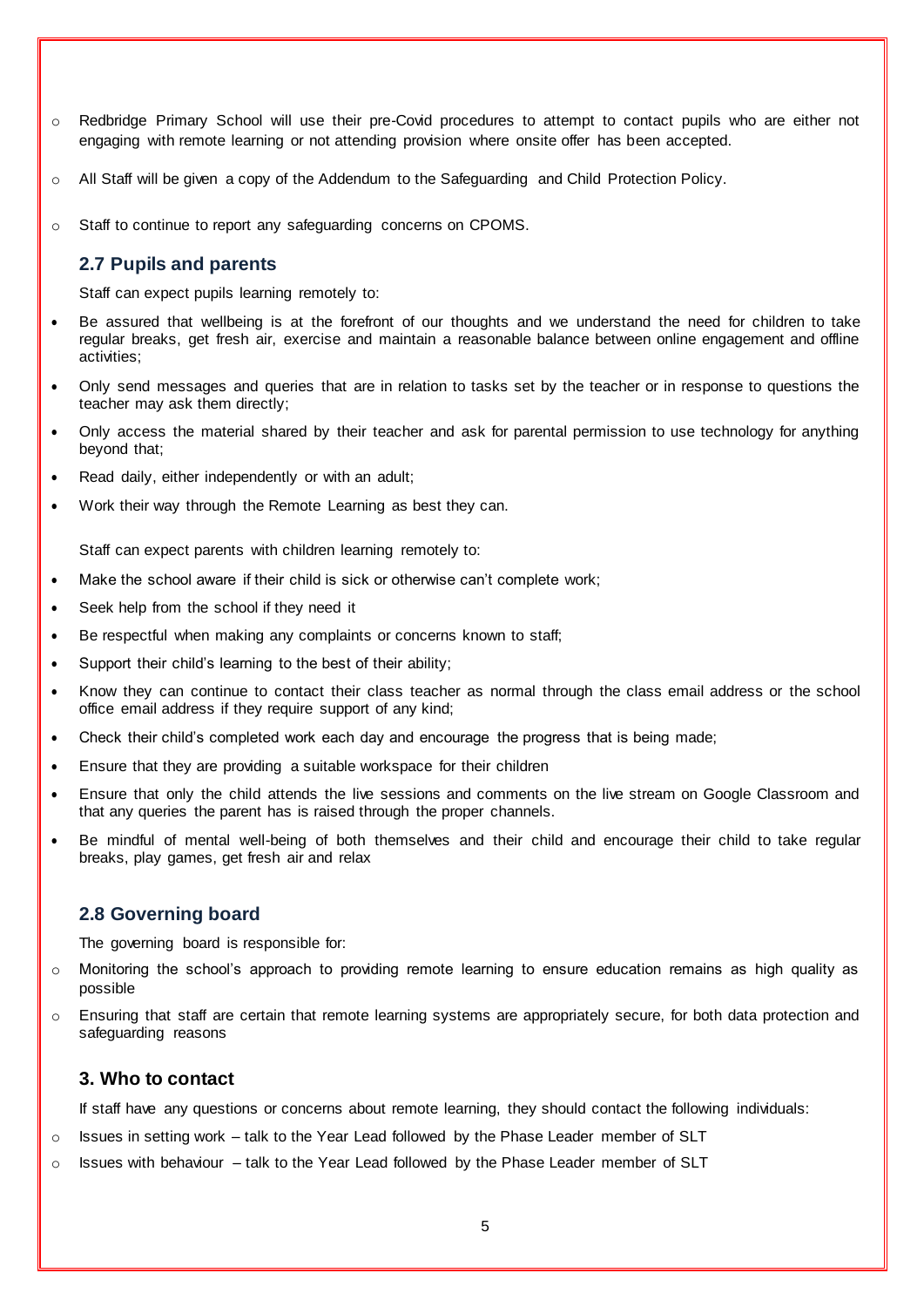- o Redbridge Primary School will use their pre-Covid procedures to attempt to contact pupils who are either not engaging with remote learning or not attending provision where onsite offer has been accepted.
- o All Staff will be given a copy of the Addendum to the Safeguarding and Child Protection Policy.
- o Staff to continue to report any safeguarding concerns on CPOMS.

#### **2.7 Pupils and parents**

Staff can expect pupils learning remotely to:

- Be assured that wellbeing is at the forefront of our thoughts and we understand the need for children to take regular breaks, get fresh air, exercise and maintain a reasonable balance between online engagement and offline activities;
- Only send messages and queries that are in relation to tasks set by the teacher or in response to questions the teacher may ask them directly;
- Only access the material shared by their teacher and ask for parental permission to use technology for anything beyond that;
- Read daily, either independently or with an adult;
- Work their way through the Remote Learning as best they can.

Staff can expect parents with children learning remotely to:

- Make the school aware if their child is sick or otherwise can't complete work;
- Seek help from the school if they need it
- Be respectful when making any complaints or concerns known to staff;
- Support their child's learning to the best of their ability;
- Know they can continue to contact their class teacher as normal through the class email address or the school office email address if they require support of any kind;
- Check their child's completed work each day and encourage the progress that is being made;
- Ensure that they are providing a suitable workspace for their children
- Ensure that only the child attends the live sessions and comments on the live stream on Google Classroom and that any queries the parent has is raised through the proper channels.
- Be mindful of mental well-being of both themselves and their child and encourage their child to take regular breaks, play games, get fresh air and relax

#### **2.8 Governing board**

The governing board is responsible for:

- o Monitoring the school's approach to providing remote learning to ensure education remains as high quality as possible
- $\circ$  Ensuring that staff are certain that remote learning systems are appropriately secure, for both data protection and safeguarding reasons

#### **3. Who to contact**

If staff have any questions or concerns about remote learning, they should contact the following individuals:

- $\circ$  Issues in setting work talk to the Year Lead followed by the Phase Leader member of SLT
- o Issues with behaviour talk to the Year Lead followed by the Phase Leader member of SLT